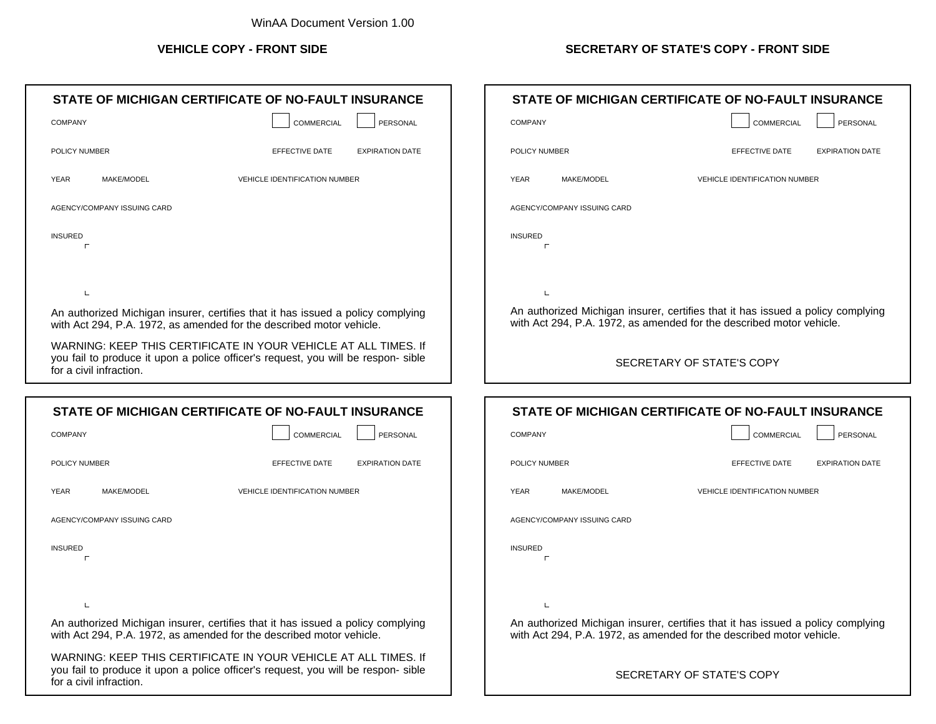|                          | STATE OF MICHIGAN CERTIFICATE OF NO-FAULT INSURANCE                                                                                                     |                                      |                        |
|--------------------------|---------------------------------------------------------------------------------------------------------------------------------------------------------|--------------------------------------|------------------------|
| <b>COMPANY</b>           |                                                                                                                                                         | <b>COMMERCIAL</b>                    | PERSONAL               |
| POLICY NUMBER            |                                                                                                                                                         | EFFECTIVE DATE                       | <b>EXPIRATION DATE</b> |
| <b>YEAR</b>              | MAKE/MODEL                                                                                                                                              | <b>VEHICLE IDENTIFICATION NUMBER</b> |                        |
|                          | AGENCY/COMPANY ISSUING CARD                                                                                                                             |                                      |                        |
| <b>INSURED</b><br>$\Box$ |                                                                                                                                                         |                                      |                        |
| L                        |                                                                                                                                                         |                                      |                        |
|                          | An authorized Michigan insurer, certifies that it has issued a policy complying<br>with Act 294, P.A. 1972, as amended for the described motor vehicle. |                                      |                        |
| for a civil infraction.  | WARNING: KEEP THIS CERTIFICATE IN YOUR VEHICLE AT ALL TIMES. If<br>you fail to produce it upon a police officer's request, you will be respon- sible    |                                      |                        |
|                          |                                                                                                                                                         |                                      |                        |
|                          | STATE OF MICHIGAN CERTIFICATE OF NO-FAULT INSURANCE                                                                                                     |                                      |                        |
|                          |                                                                                                                                                         |                                      |                        |
| <b>COMPANY</b>           |                                                                                                                                                         | <b>COMMERCIAL</b>                    | PERSONAL               |
| POLICY NUMBER            |                                                                                                                                                         | EFFECTIVE DATE                       | <b>EXPIRATION DATE</b> |
| YEAR                     | MAKE/MODEL                                                                                                                                              | VEHICLE IDENTIFICATION NUMBER        |                        |
|                          | AGENCY/COMPANY ISSUING CARD                                                                                                                             |                                      |                        |
| <b>INSURED</b>           |                                                                                                                                                         |                                      |                        |
| г                        |                                                                                                                                                         |                                      |                        |
| L                        |                                                                                                                                                         |                                      |                        |
|                          | An authorized Michigan insurer, certifies that it has issued a policy complying<br>with Act 294, P.A. 1972, as amended for the described motor vehicle. |                                      |                        |

WARNING: KEEP THIS CERTIFICATE IN YOUR VEHICLE AT ALL TIMES. If you fail to produce it upon a police officer's request, you will be respon- sible for a civil infraction.

## **VEHICLE COPY - FRONT SIDE SECRETARY OF STATE'S COPY - FRONT SIDE**

| STATE OF MICHIGAN CERTIFICATE OF NO-FAULT INSURANCE                                                                                                     |                                          |  |  |  |
|---------------------------------------------------------------------------------------------------------------------------------------------------------|------------------------------------------|--|--|--|
| <b>COMPANY</b>                                                                                                                                          | COMMERCIAL<br>PERSONAL                   |  |  |  |
| POLICY NUMBER                                                                                                                                           | EFFECTIVE DATE<br><b>EXPIRATION DATE</b> |  |  |  |
| <b>YEAR</b><br>MAKE/MODEL                                                                                                                               | <b>VEHICLE IDENTIFICATION NUMBER</b>     |  |  |  |
| AGENCY/COMPANY ISSUING CARD                                                                                                                             |                                          |  |  |  |
| <b>INSURED</b>                                                                                                                                          |                                          |  |  |  |
|                                                                                                                                                         |                                          |  |  |  |
| $\mathbf{L}$                                                                                                                                            |                                          |  |  |  |
| An authorized Michigan insurer, certifies that it has issued a policy complying<br>with Act 294, P.A. 1972, as amended for the described motor vehicle. |                                          |  |  |  |
| SECRETARY OF STATE'S COPY                                                                                                                               |                                          |  |  |  |

| STATE OF MICHIGAN CERTIFICATE OF NO-FAULT INSURANCE                                                                                                     |                                          |  |  |  |
|---------------------------------------------------------------------------------------------------------------------------------------------------------|------------------------------------------|--|--|--|
| <b>COMPANY</b>                                                                                                                                          | COMMERCIAL<br>PERSONAL                   |  |  |  |
| POLICY NUMBER                                                                                                                                           | EFFECTIVE DATE<br><b>EXPIRATION DATE</b> |  |  |  |
| <b>YEAR</b><br>MAKE/MODEL                                                                                                                               | <b>VEHICLE IDENTIFICATION NUMBER</b>     |  |  |  |
| AGENCY/COMPANY ISSUING CARD                                                                                                                             |                                          |  |  |  |
| <b>INSURED</b>                                                                                                                                          |                                          |  |  |  |
|                                                                                                                                                         |                                          |  |  |  |
|                                                                                                                                                         |                                          |  |  |  |
| An authorized Michigan insurer, certifies that it has issued a policy complying<br>with Act 294, P.A. 1972, as amended for the described motor vehicle. |                                          |  |  |  |
|                                                                                                                                                         | SECRETARY OF STATE'S COPY                |  |  |  |